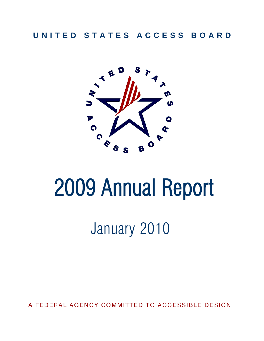## **U N I T E D S T A T E S A C C E S S B O A R D**



# 2009 Annual Report

# January 2010

A FEDERAL AGENCY COMMITTED TO ACCESSIBLE DESIGN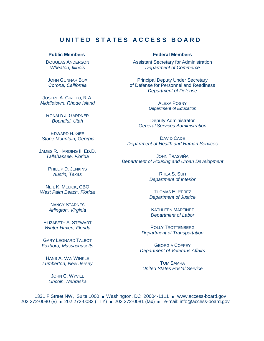#### **U N I T E D S T A T E S A C C E S S B O A R D**

DOUGLAS ANDERSON *Wheaton, Illinois*

JOHN GUNNAR BOX *Corona, California*

JOSEPH A. CIRILLO, R.A. *Middletown, Rhode Island*

> RONALD J. GARDNER *Bountiful, Utah*

EDWARD H. GEE *Stone Mountain, Georgia*

JAMES R. HARDING II, ED.D. *Tallahassee, Florida*

> PHILLIP D. JENKINS *Austin, Texas*

NEIL K. MELICK, CBO *West Palm Beach, Florida*

> NANCY STARNES *Arlington, Virginia*

ELIZABETH A. STEWART *Winter Haven, Florida*

GARY LEONARD TALBOT *Foxboro, Massachusetts*

HANS A. VAN WINKLE *Lumberton, New Jersey*

> JOHN C. WYVILL *Lincoln, Nebraska*

#### **Public Members Federal Members**

Assistant Secretary for Administration *Department of Commerce*

Principal Deputy Under Secretary of Defense for Personnel and Readiness *Department of Defense*

> ALEXA POSNY *Department of Education*

Deputy Administrator *General Services Administration*

DAVID CADE *Department of Health and Human Services*

JOHN TRASVIÑA *Department of Housing and Urban Development*

> RHEA S. SUH *Department of Interior*

> THOMAS E. PEREZ *Department of Justice*

**KATHLEEN MARTINEZ** *Department of Labor*

POLLY TROTTENBERG *Department of Transportation*

GEORGIA COFFEY *Department of Veterans Affairs*

TOM SAMRA *United States Postal Service*

1331 F Street NW, Suite 1000 ■ Washington, DC 20004-1111 ■ www.access-board.gov 202 272-0080 (v) ■ 202 272-0082 (TTY) ■ 202 272-0081 (fax) ■ e-mail: info@access-board.gov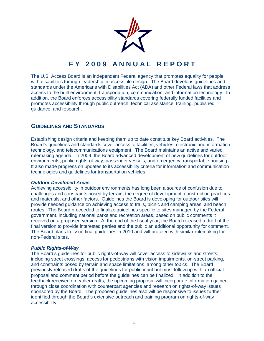

### **F Y 2 0 0 9 A N N U A L R E P O R T**

The U.S. Access Board is an independent Federal agency that promotes equality for people with disabilities through leadership in accessible design. The Board develops guidelines and standards under the Americans with Disabilities Act (ADA) and other Federal laws that address access to the built environment, transportation, communication, and information technology. In addition, the Board enforces accessibility standards covering federally funded facilities and promotes accessibility through public outreach, technical assistance, training, published guidance, and research.

#### **GUIDELINES AND STANDARDS**

Establishing design criteria and keeping them up to date constitute key Board activities. The Board's guidelines and standards cover access to facilities, vehicles, electronic and information technology, and telecommunications equipment. The Board maintains an active and varied rulemaking agenda. In 2009, the Board advanced development of new guidelines for outdoor environments, public rights-of-way, passenger vessels, and emergency transportable housing. It also made progress on updates to its accessibility criteria for information and communication technologies and guidelines for transportation vehicles.

#### *Outdoor Developed Areas*

Achieving accessibility in outdoor environments has long been a source of confusion due to challenges and constraints posed by terrain, the degree of development, construction practices and materials, and other factors. Guidelines the Board is developing for outdoor sites will provide needed guidance on achieving access to trails, picnic and camping areas, and beach routes. The Board proceeded to finalize guidelines specific to sites managed by the Federal government, including national parks and recreation areas, based on public comments it received on a proposed version. At the end of the fiscal year, the Board released a draft of the final version to provide interested parties and the public an additional opportunity for comment. The Board plans to issue final guidelines in 2010 and will proceed with similar rulemaking for non-Federal sites.

#### *Public Rights-of-Way*

The Board's guidelines for public rights-of-way will cover access to sidewalks and streets, including street crossings, access for pedestrians with vision impairments, on-street parking, and constraints posed by terrain and space limitations, among other topics. The Board previously released drafts of the guidelines for public input but must follow up with an official proposal and comment period before the guidelines can be finalized. In addition to the feedback received on earlier drafts, the upcoming proposal will incorporate information gained through close coordination with counterpart agencies and research on rights-of-way issues sponsored by the Board. The proposed guidelines also will be responsive to issues further identified through the Board's extensive outreach and training program on rights-of-way accessibility.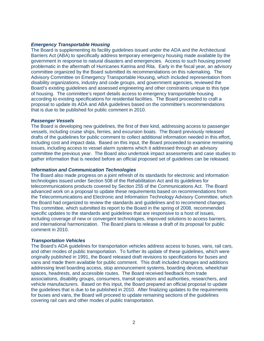#### *Emergency Transportable Housing*

The Board is supplementing its facility guidelines issued under the ADA and the Architectural Barriers Act (ABA) to specifically address temporary emergency housing made available by the government in response to natural disasters and emergencies. Access to such housing proved problematic in the aftermath of Hurricanes Katrina and Rita. Early in the fiscal year, an advisory committee organized by the Board submitted its recommendations on this rulemaking. The Advisory Committee on Emergency Transportable Housing, which included representation from disability organizations, industry and code groups, and government agencies, reviewed the Board's existing guidelines and assessed engineering and other constraints unique to this type of housing. The committee's report details access to emergency transportable housing according to existing specifications for residential facilities. The Board proceeded to craft a proposal to update its ADA and ABA guidelines based on the committee's recommendations that is due to be published for public comment in 2010.

#### *Passenger Vessels*

The Board is developing new guidelines, the first of their kind, addressing access to passenger vessels, including cruise ships, ferries, and excursion boats. The Board previously released drafts of the guidelines for public comment to collect additional information needed in this effort, including cost and impact data. Based on this input, the Board proceeded to examine remaining issues, including access to vessel alarm systems which it addressed through an advisory committee the previous year. The Board also undertook impact assessments and case studies to gather information that is needed before an official proposed set of guidelines can be released.

#### *Information and Communication Technologies*

The Board also made progress on a joint refresh of its standards for electronic and information technologies issued under Section 508 of the Rehabilitation Act and its guidelines for telecommunications products covered by Section 255 of the Communications Act. The Board advanced work on a proposal to update these requirements based on recommendations from the Telecommunications and Electronic and Information Technology Advisory Committee, which the Board had organized to review the standards and guidelines and to recommend changes. This committee, which submitted its report to the Board in the spring of 2008, recommended specific updates to the standards and guidelines that are responsive to a host of issues, including coverage of new or convergent technologies, improved solutions to access barriers, and international harmonization. The Board plans to release a draft of its proposal for public comment in 2010.

#### *Transportation Vehicles*

The Board's ADA guidelines for transportation vehicles address access to buses, vans, rail cars, and other modes of public transportation. To further its update of these guidelines, which were originally published in 1991, the Board released draft revisions to specifications for buses and vans and made them available for public comment. This draft included changes and additions addressing level boarding access, stop announcement systems, boarding devices, wheelchair spaces, headrests, and accessible routes. The Board received feedback from trade associations, disability groups, consumers, transit operators and authorities, researchers, and vehicle manufacturers. Based on this input, the Board prepared an official proposal to update the guidelines that is due to be published in 2010. After finalizing updates to the requirements for buses and vans, the Board will proceed to update remaining sections of the guidelines covering rail cars and other modes of public transportation.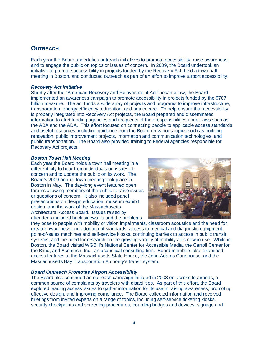#### **OUTREACH**

Each year the Board undertakes outreach initiatives to promote accessibility, raise awareness, and to engage the public on topics or issues of concern. In 2009, the Board undertook an initiative to promote accessibility in projects funded by the Recovery Act, held a town hall meeting in Boston, and conducted outreach as part of an effort to improve airport accessibility.

#### *Recovery Act Initiative*

Shortly after the "American Recovery and Reinvestment Act" became law, the Board implemented an awareness campaign to promote accessibility in projects funded by the \$787 billion measure. The act funds a wide array of projects and programs to improve infrastructure, transportation, energy efficiency, education, and health care. To help ensure that accessibility is properly integrated into Recovery Act projects, the Board prepared and disseminated information to alert funding agencies and recipients of their responsibilities under laws such as the ABA and the ADA. This effort focused on connecting people to applicable access standards and useful resources, including guidance from the Board on various topics such as building renovation, public improvement projects, information and communication technologies, and public transportation. The Board also provided training to Federal agencies responsible for Recovery Act projects.

#### *Boston Town Hall Meeting*

Each year the Board holds a town hall meeting in a different city to hear from individuals on issues of concern and to update the public on its work. The Board's 2009 annual town meeting took place in Boston in May. The day-long event featured open forums allowing members of the public to raise issues or questions of concern. It also included panel presentations on design education, museum exhibit design, and the work of the Massachusetts Architectural Access Board. Issues raised by attendees included brick sidewalks and the problems



they pose to people with mobility or vision impairments, classroom acoustics and the need for greater awareness and adoption of standards, access to medical and diagnostic equipment, point-of-sales machines and self-service kiosks, continuing barriers to access in public transit systems, and the need for research on the growing variety of mobility aids now in use. While in Boston, the Board visited WGBH's National Center for Accessible Media, the Carroll Center for the Blind, and Acentech, Inc., an acoustical consulting firm. Board members also examined access features at the Massachusetts State House, the John Adams Courthouse, and the Massachusetts Bay Transportation Authority's transit system.

#### *Board Outreach Promotes Airport Accessibility*

The Board also continued an outreach campaign initiated in 2008 on access to airports, a common source of complaints by travelers with disabilities. As part of this effort, the Board explored leading access issues to gather information for its use in raising awareness, promoting effective design, and improving compliance. The Board collected information and received briefings from invited experts on a range of topics, including self-service ticketing kiosks, security checkpoints and screening procedures, boarding bridges and devices, signage and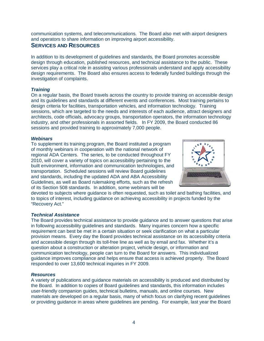communication systems, and telecommunications. The Board also met with airport designers and operators to share information on improving airport accessibility.

#### **SERVICES AND RESOURCES**

In addition to its development of guidelines and standards, the Board promotes accessible design through education, published resources, and technical assistance to the public. These services play a critical role in assisting various professionals understand and apply accessibility design requirements. The Board also ensures access to federally funded buildings through the investigation of complaints.

#### *Training*

On a regular basis, the Board travels across the country to provide training on accessible design and its guidelines and standards at different events and conferences. Most training pertains to design criteria for facilities, transportation vehicles, and information technology. Training sessions, which are targeted to the needs and interests of each audience, attract designers and architects, code officials, advocacy groups, transportation operators, the information technology industry, and other professionals in assorted fields. In FY 2009, the Board conducted 86 sessions and provided training to approximately 7,000 people.

#### *Webinars*

To supplement its training program, the Board instituted a program of monthly webinars in cooperation with the national network of regional ADA Centers. The series, to be conducted throughout FY 2010, will cover a variety of topics on accessibility pertaining to the built environment, information and communication technologies, and transportation. Scheduled sessions will review Board guidelines and standards, including the updated ADA and ABA Accessibility Guidelines, as well as Board rulemaking efforts, such as the refresh of its Section 508 standards. In addition, some webinars will be



devoted to subjects where guidance is often requested, such as toilet and bathing facilities, and to topics of interest, including guidance on achieving accessibility in projects funded by the "Recovery Act."

#### *Technical Assistance*

The Board provides technical assistance to provide guidance and to answer questions that arise in following accessibility guidelines and standards. Many inquiries concern how a specific requirement can best be met in a certain situation or seek clarification on what a particular provision means. Every day the Board provides technical assistance on its accessibility criteria and accessible design through its toll-free line as well as by email and fax. Whether it's a question about a construction or alteration project, vehicle design, or information and communication technology, people can turn to the Board for answers. This individualized guidance improves compliance and helps ensure that access is achieved properly. The Board responded to over 13,600 technical inquiries in FY 2009.

#### *Resources*

A variety of publications and guidance materials on accessibility is produced and distributed by the Board. In addition to copies of Board guidelines and standards, this information includes user-friendly companion guides, technical bulletins, manuals, and online courses. New materials are developed on a regular basis, many of which focus on clarifying recent guidelines or providing guidance in areas where guidelines are pending. For example, last year the Board